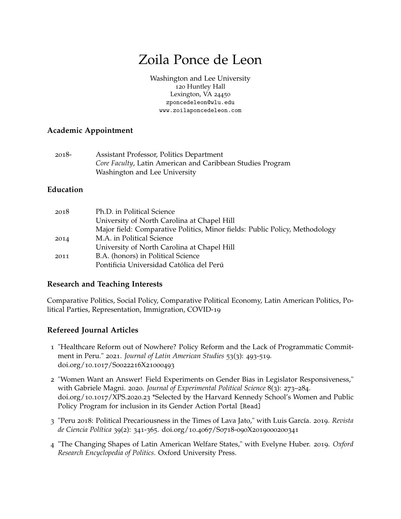# Zoila Ponce de Leon

[Washington and Lee University](https://www.wlu.edu///) 120 Huntley Hall Lexington, VA 24450 [zponcedeleon@wlu.edu](mailto:zponcedeleon@wlu.edu) [www.zoilaponcedeleon.com](http://www.zoilaponcedeleon.com/)

# **Academic Appointment**

| $2018-$ | Assistant Professor, Politics Department                   |
|---------|------------------------------------------------------------|
|         | Core Faculty, Latin American and Caribbean Studies Program |
|         | Washington and Lee University                              |

# **Education**

| 2018 | Ph.D. in Political Science                                                  |
|------|-----------------------------------------------------------------------------|
|      | University of North Carolina at Chapel Hill                                 |
|      | Major field: Comparative Politics, Minor fields: Public Policy, Methodology |
| 2014 | M.A. in Political Science                                                   |
|      | University of North Carolina at Chapel Hill                                 |
| 2011 | B.A. (honors) in Political Science                                          |
|      | Pontificia Universidad Católica del Perú                                    |

# **Research and Teaching Interests**

Comparative Politics, Social Policy, Comparative Political Economy, Latin American Politics, Political Parties, Representation, Immigration, COVID-19

# **Refereed Journal Articles**

- 1 "Healthcare Reform out of Nowhere? Policy Reform and the Lack of Programmatic Commitment in Peru." 2021. *Journal of Latin American Studies* 53(3): 493-519. doi.org/10.1017/S0022216X21000493
- 2 "Women Want an Answer! Field Experiments on Gender Bias in Legislator Responsiveness," with Gabriele Magni. 2020. *Journal of Experimental Political Science* 8(3): 273–284. doi.org/10.1017/XPS.2020.23 \*Selected by the Harvard Kennedy School's Women and Public Policy Program for inclusion in its Gender Action Portal [\[Read\]](https://gap.hks.harvard.edu/women-want-answer-field-experiments-elected-officials-and-gender-bias)
- 3 "Peru 2018: Political Precariousness in the Times of Lava Jato," with Luis García. 2019. *Revista de Ciencia Política* 39(2): 341-365. doi.org/10.4067/S0718-090X2019000200341
- 4 "The Changing Shapes of Latin American Welfare States," with Evelyne Huber. 2019. *Oxford Research Encyclopedia of Politics*. Oxford University Press.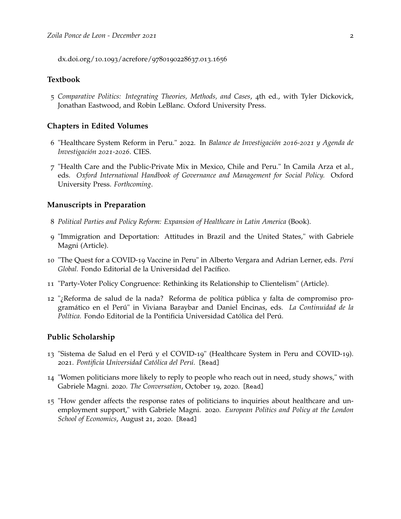dx.doi.org/10.1093/acrefore/9780190228637.013.1656

# **Textbook**

5 *Comparative Politics: Integrating Theories, Methods, and Cases*, 4th ed., with Tyler Dickovick, Jonathan Eastwood, and Robin LeBlanc. Oxford University Press.

#### **Chapters in Edited Volumes**

- 6 "Healthcare System Reform in Peru." 2022. In *Balance de Investigación 2016-2021 y Agenda de Investigación 2021-2026*. CIES.
- 7 "Health Care and the Public-Private Mix in Mexico, Chile and Peru." In Camila Arza et al., eds. *Oxford International Handbook of Governance and Management for Social Policy.* Oxford University Press. *Forthcoming*.

# **Manuscripts in Preparation**

- 8 *Political Parties and Policy Reform: Expansion of Healthcare in Latin America* (Book).
- 9 "Immigration and Deportation: Attitudes in Brazil and the United States," with Gabriele Magni (Article).
- 10 "The Quest for a COVID-19 Vaccine in Peru" in Alberto Vergara and Adrian Lerner, eds. *Perú Global.* Fondo Editorial de la Universidad del Pacífico.
- 11 "Party-Voter Policy Congruence: Rethinking its Relationship to Clientelism" (Article).
- 12 "¿Reforma de salud de la nada? Reforma de política pública y falta de compromiso programático en el Perú" in Viviana Baraybar and Daniel Encinas, eds. *La Continuidad de la Política.* Fondo Editorial de la Pontificia Universidad Católica del Perú.

#### **Public Scholarship**

- 13 "Sistema de Salud en el Perú y el COVID-19" (Healthcare System in Peru and COVID-19). 2021. *Pontificia Universidad Católica del Perú.* [\[Read\]](https://escuela.pucp.edu.pe/gobierno/publicaciones/sistema-de-salud-en-el-peru-y-el-covid-19/)
- 14 "Women politicians more likely to reply to people who reach out in need, study shows," with Gabriele Magni. 2020. *The Conversation*, October 19, 2020. [\[Read\]](https://theconversation.com/women-politicians-more-likely-to-reply-to-people-who-reach-out-in-need-study-shows-147395)
- 15 "How gender affects the response rates of politicians to inquiries about healthcare and unemployment support," with Gabriele Magni. 2020. *European Politics and Policy at the London School of Economics*, August 21, 2020. [\[Read\]](https://blogs.lse.ac.uk/europpblog/2020/08/21/how-gender-affects-the-response-rates-of-politicians-to-inquiries-about-healthcare-and-unemployment-support/)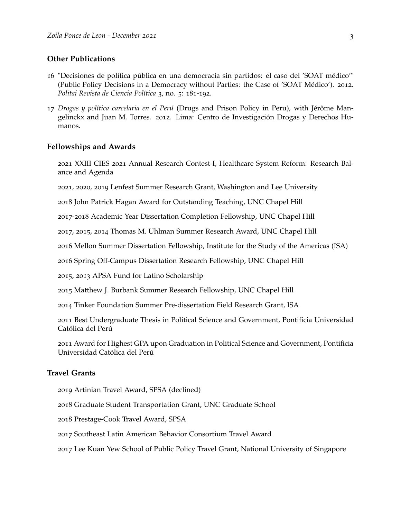# **Other Publications**

- "Decisiones de política pública en una democracia sin partidos: el caso del 'SOAT médico'" (Public Policy Decisions in a Democracy without Parties: the Case of 'SOAT Médico'). 2012. *Politai Revista de Ciencia Política* 3, no. 5: 181-192.
- *Drogas y política carcelaria en el Perú* (Drugs and Prison Policy in Peru), with Jérôme Mangelinckx and Juan M. Torres. 2012. Lima: Centro de Investigación Drogas y Derechos Humanos.

#### **Fellowships and Awards**

 XXIII CIES 2021 Annual Research Contest-I, Healthcare System Reform: Research Balance and Agenda

, 2020, 2019 Lenfest Summer Research Grant, Washington and Lee University

John Patrick Hagan Award for Outstanding Teaching, UNC Chapel Hill

-2018 Academic Year Dissertation Completion Fellowship, UNC Chapel Hill

, 2015, 2014 Thomas M. Uhlman Summer Research Award, UNC Chapel Hill

Mellon Summer Dissertation Fellowship, Institute for the Study of the Americas (ISA)

Spring Off-Campus Dissertation Research Fellowship, UNC Chapel Hill

, 2013 APSA Fund for Latino Scholarship

Matthew J. Burbank Summer Research Fellowship, UNC Chapel Hill

Tinker Foundation Summer Pre-dissertation Field Research Grant, ISA

 Best Undergraduate Thesis in Political Science and Government, Pontificia Universidad Católica del Perú

 Award for Highest GPA upon Graduation in Political Science and Government, Pontificia Universidad Católica del Perú

# **Travel Grants**

Artinian Travel Award, SPSA (declined)

Graduate Student Transportation Grant, UNC Graduate School

Prestage-Cook Travel Award, SPSA

- Southeast Latin American Behavior Consortium Travel Award
- Lee Kuan Yew School of Public Policy Travel Grant, National University of Singapore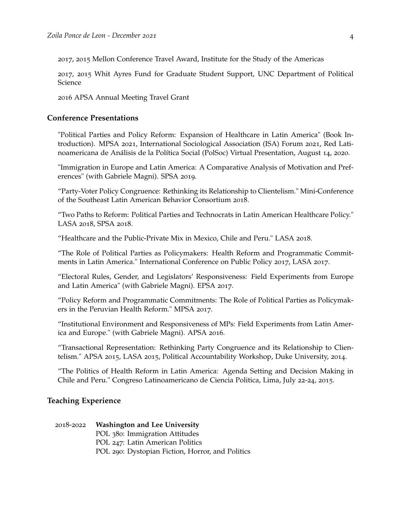2017, 2015 Mellon Conference Travel Award, Institute for the Study of the Americas

2017, 2015 Whit Ayres Fund for Graduate Student Support, UNC Department of Political Science

2016 APSA Annual Meeting Travel Grant

## **Conference Presentations**

"Political Parties and Policy Reform: Expansion of Healthcare in Latin America" (Book Introduction). MPSA 2021, International Sociological Association (ISA) Forum 2021, Red Latinoamericana de Análisis de la Política Social (PolSoc) Virtual Presentation, August 14, 2020.

"Immigration in Europe and Latin America: A Comparative Analysis of Motivation and Preferences" (with Gabriele Magni). SPSA 2019.

"Party-Voter Policy Congruence: Rethinking its Relationship to Clientelism." Mini-Conference of the Southeast Latin American Behavior Consortium 2018.

"Two Paths to Reform: Political Parties and Technocrats in Latin American Healthcare Policy." LASA 2018, SPSA 2018.

"Healthcare and the Public-Private Mix in Mexico, Chile and Peru." LASA 2018.

"The Role of Political Parties as Policymakers: Health Reform and Programmatic Commitments in Latin America." International Conference on Public Policy 2017, LASA 2017.

"Electoral Rules, Gender, and Legislators' Responsiveness: Field Experiments from Europe and Latin America" (with Gabriele Magni). EPSA 2017.

"Policy Reform and Programmatic Commitments: The Role of Political Parties as Policymakers in the Peruvian Health Reform." MPSA 2017.

"Institutional Environment and Responsiveness of MPs: Field Experiments from Latin America and Europe." (with Gabriele Magni). APSA 2016.

"Transactional Representation: Rethinking Party Congruence and its Relationship to Clientelism." APSA 2015, LASA 2015, Political Accountability Workshop, Duke University, 2014.

"The Politics of Health Reform in Latin America: Agenda Setting and Decision Making in Chile and Peru." Congreso Latinoamericano de Ciencia Politica, Lima, July 22-24, 2015.

#### **Teaching Experience**

2018-2022 **Washington and Lee University** POL 380: Immigration Attitudes POL 247: Latin American Politics POL 290: Dystopian Fiction, Horror, and Politics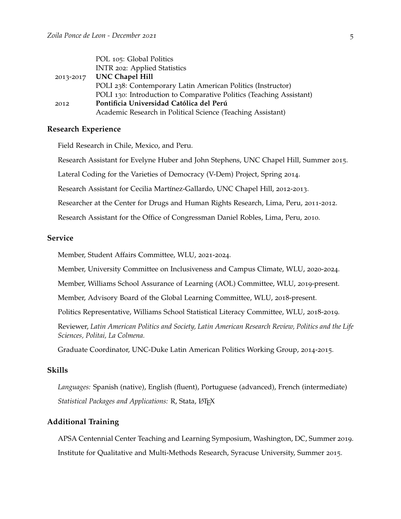|           | POL 105: Global Politics                                            |
|-----------|---------------------------------------------------------------------|
|           | INTR 202: Applied Statistics                                        |
| 2013-2017 | <b>UNC Chapel Hill</b>                                              |
|           | POLI 238: Contemporary Latin American Politics (Instructor)         |
|           | POLI 130: Introduction to Comparative Politics (Teaching Assistant) |
| 2012      | Pontificia Universidad Católica del Perú                            |
|           | Academic Research in Political Science (Teaching Assistant)         |

## **Research Experience**

Field Research in Chile, Mexico, and Peru.

Research Assistant for Evelyne Huber and John Stephens, UNC Chapel Hill, Summer 2015.

Lateral Coding for the Varieties of Democracy (V-Dem) Project, Spring 2014.

Research Assistant for Cecilia Martínez-Gallardo, UNC Chapel Hill, 2012-2013.

Researcher at the Center for Drugs and Human Rights Research, Lima, Peru, 2011-2012.

Research Assistant for the Office of Congressman Daniel Robles, Lima, Peru, 2010.

# **Service**

Member, Student Affairs Committee, WLU, 2021-2024.

Member, University Committee on Inclusiveness and Campus Climate, WLU, 2020-2024.

Member, Williams School Assurance of Learning (AOL) Committee, WLU, 2019-present.

Member, Advisory Board of the Global Learning Committee, WLU, 2018-present.

Politics Representative, Williams School Statistical Literacy Committee, WLU, 2018-2019.

Reviewer, *Latin American Politics and Society, Latin American Research Review, Politics and the Life Sciences, Politai, La Colmena.*

Graduate Coordinator, UNC-Duke Latin American Politics Working Group, 2014-2015.

## **Skills**

*Languages:* Spanish (native), English (fluent), Portuguese (advanced), French (intermediate) *Statistical Packages and Applications:* R, Stata, LATEX

# **Additional Training**

APSA Centennial Center Teaching and Learning Symposium, Washington, DC, Summer 2019. Institute for Qualitative and Multi-Methods Research, Syracuse University, Summer 2015.